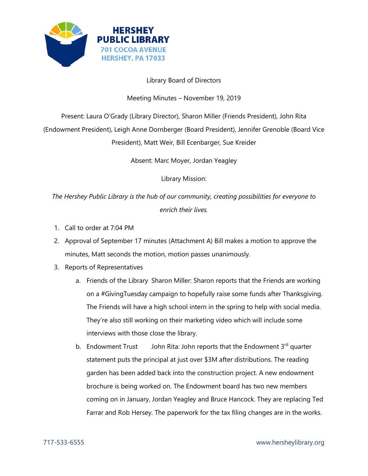

Library Board of Directors

Meeting Minutes – November 19, 2019

Present: Laura O'Grady (Library Director), Sharon Miller (Friends President), John Rita

(Endowment President), Leigh Anne Dornberger (Board President), Jennifer Grenoble (Board Vice

President), Matt Weir, Bill Ecenbarger, Sue Kreider

Absent: Marc Moyer, Jordan Yeagley

Library Mission:

*The Hershey Public Library is the hub of our community, creating possibilities for everyone to enrich their lives.* 

- 1. Call to order at 7:04 PM
- 2. Approval of September 17 minutes (Attachment A) Bill makes a motion to approve the minutes, Matt seconds the motion, motion passes unanimously.
- 3. Reports of Representatives
	- a. Friends of the Library Sharon Miller: Sharon reports that the Friends are working on a #GivingTuesday campaign to hopefully raise some funds after Thanksgiving. The Friends will have a high school intern in the spring to help with social media. They're also still working on their marketing video which will include some interviews with those close the library.
	- b. Endowment Trust John Rita: John reports that the Endowment  $3<sup>rd</sup>$  quarter statement puts the principal at just over \$3M after distributions. The reading garden has been added back into the construction project. A new endowment brochure is being worked on. The Endowment board has two new members coming on in January, Jordan Yeagley and Bruce Hancock. They are replacing Ted Farrar and Rob Hersey. The paperwork for the tax filing changes are in the works.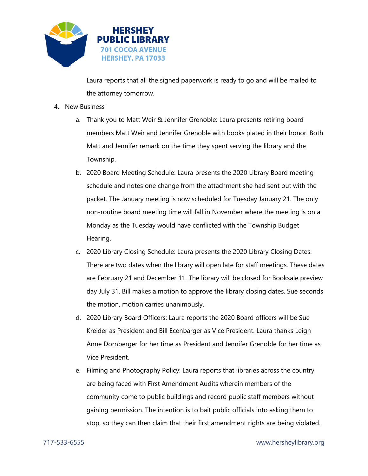

Laura reports that all the signed paperwork is ready to go and will be mailed to the attorney tomorrow.

- 4. New Business
	- a. Thank you to Matt Weir & Jennifer Grenoble: Laura presents retiring board members Matt Weir and Jennifer Grenoble with books plated in their honor. Both Matt and Jennifer remark on the time they spent serving the library and the Township.
	- b. 2020 Board Meeting Schedule: Laura presents the 2020 Library Board meeting schedule and notes one change from the attachment she had sent out with the packet. The January meeting is now scheduled for Tuesday January 21. The only non-routine board meeting time will fall in November where the meeting is on a Monday as the Tuesday would have conflicted with the Township Budget Hearing.
	- c. 2020 Library Closing Schedule: Laura presents the 2020 Library Closing Dates. There are two dates when the library will open late for staff meetings. These dates are February 21 and December 11. The library will be closed for Booksale preview day July 31. Bill makes a motion to approve the library closing dates, Sue seconds the motion, motion carries unanimously.
	- d. 2020 Library Board Officers: Laura reports the 2020 Board officers will be Sue Kreider as President and Bill Ecenbarger as Vice President. Laura thanks Leigh Anne Dornberger for her time as President and Jennifer Grenoble for her time as Vice President.
	- e. Filming and Photography Policy: Laura reports that libraries across the country are being faced with First Amendment Audits wherein members of the community come to public buildings and record public staff members without gaining permission. The intention is to bait public officials into asking them to stop, so they can then claim that their first amendment rights are being violated.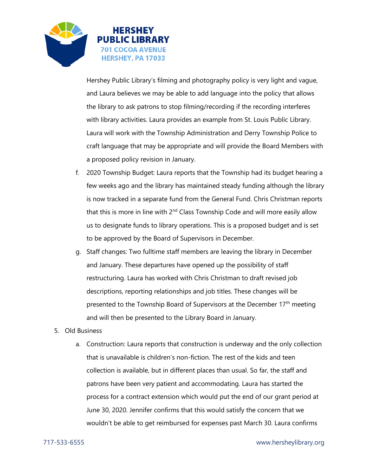

Hershey Public Library's filming and photography policy is very light and vague, and Laura believes we may be able to add language into the policy that allows the library to ask patrons to stop filming/recording if the recording interferes with library activities. Laura provides an example from St. Louis Public Library. Laura will work with the Township Administration and Derry Township Police to craft language that may be appropriate and will provide the Board Members with a proposed policy revision in January.

- f. 2020 Township Budget: Laura reports that the Township had its budget hearing a few weeks ago and the library has maintained steady funding although the library is now tracked in a separate fund from the General Fund. Chris Christman reports that this is more in line with  $2<sup>nd</sup>$  Class Township Code and will more easily allow us to designate funds to library operations. This is a proposed budget and is set to be approved by the Board of Supervisors in December.
- g. Staff changes: Two fulltime staff members are leaving the library in December and January. These departures have opened up the possibility of staff restructuring. Laura has worked with Chris Christman to draft revised job descriptions, reporting relationships and job titles. These changes will be presented to the Township Board of Supervisors at the December 17<sup>th</sup> meeting and will then be presented to the Library Board in January.
- 5. Old Business
	- a. Construction: Laura reports that construction is underway and the only collection that is unavailable is children's non-fiction. The rest of the kids and teen collection is available, but in different places than usual. So far, the staff and patrons have been very patient and accommodating. Laura has started the process for a contract extension which would put the end of our grant period at June 30, 2020. Jennifer confirms that this would satisfy the concern that we wouldn't be able to get reimbursed for expenses past March 30. Laura confirms